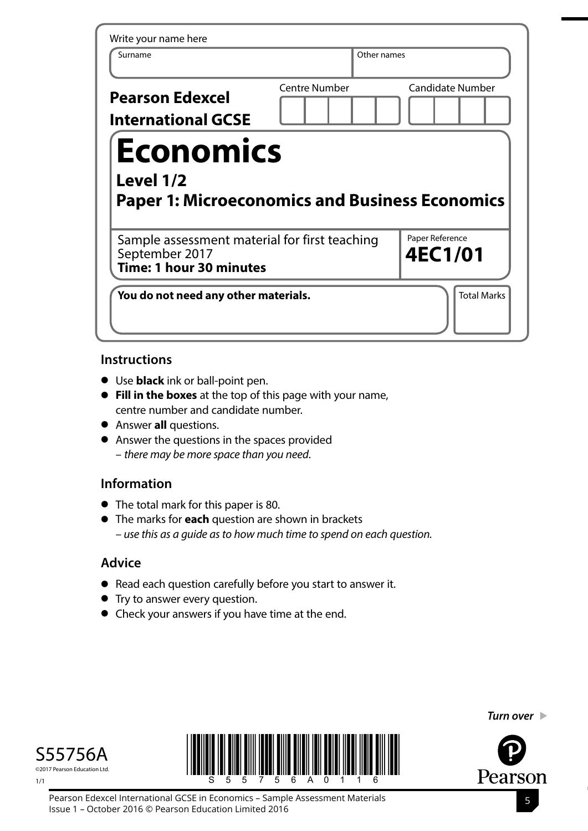| Write your name here<br>Surname                                                            |                      | Other names |                            |
|--------------------------------------------------------------------------------------------|----------------------|-------------|----------------------------|
| <b>Pearson Edexcel</b><br><b>International GCSE</b>                                        | <b>Centre Number</b> |             | <b>Candidate Number</b>    |
| <b>Economics</b>                                                                           |                      |             |                            |
| Level 1/2<br><b>Paper 1: Microeconomics and Business Economics</b>                         |                      |             |                            |
| Sample assessment material for first teaching<br>September 2017<br>Time: 1 hour 30 minutes |                      |             | Paper Reference<br>4EC1/01 |

## **Instructions**

- **•** Use **black** ink or ball-point pen.
- **• Fill in the boxes** at the top of this page with your name, centre number and candidate number.
- **•** Answer **all** questions.
- **•** Answer the questions in the spaces provided – *there may be more space than you need*.

# **Information**

- **•** The total mark for this paper is 80.
- **•** The marks for **each** question are shown in brackets *– use this as a guide as to how much time to spend on each question.*

# **Advice**

- **•** Read each question carefully before you start to answer it.
- **•** Try to answer every question.
- **•** Check your answers if you have time at the end.

©2017 Pearson Education Ltd.

1/1





*Turn over* 

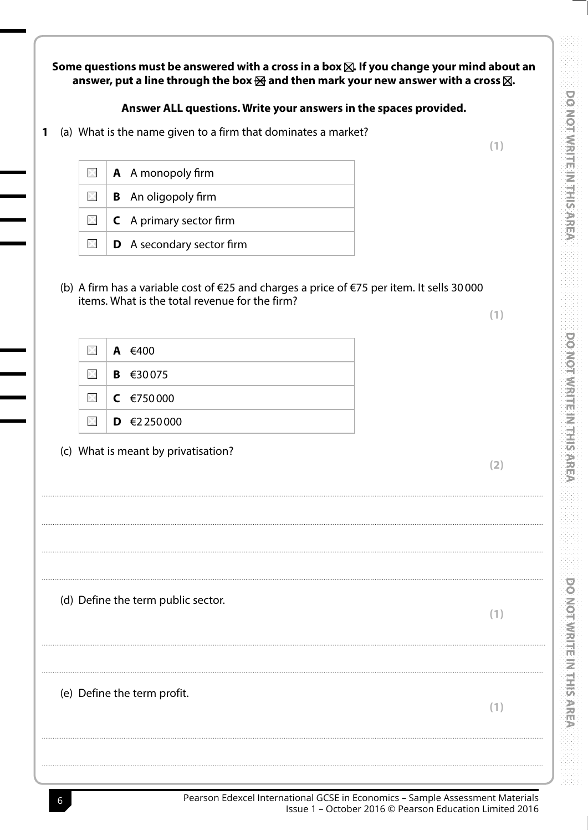Some questions must be answered with a cross in a box  $\boxtimes$ . If you change your mind about an answer, put a line through the box  $\boxtimes$  and then mark your new answer with a cross  $\boxtimes$ .

### Answer ALL questions. Write your answers in the spaces provided.

(a) What is the name given to a firm that dominates a market? 1

|  | $\Box$   <b>A</b> A monopoly firm        |
|--|------------------------------------------|
|  | $\boxtimes$   <b>B</b> An oligopoly firm |
|  | $\Box$ <b>C</b> A primary sector firm    |
|  | $\Box$ <b>D</b> A secondary sector firm  |

(b) A firm has a variable cost of  $\epsilon$ 25 and charges a price of  $\epsilon$ 75 per item. It sells 30000 items. What is the total revenue for the firm?

 $(1)$ 

 $(2)$ 

 $(1)$ 

 $(1)$ 

 $(1)$ 

|  | $\Box$   A $\in$ 400                                                                                                                                                                                                                                                                                                                                                                                                                                                                       |
|--|--------------------------------------------------------------------------------------------------------------------------------------------------------------------------------------------------------------------------------------------------------------------------------------------------------------------------------------------------------------------------------------------------------------------------------------------------------------------------------------------|
|  | $\blacksquare$   <b>B</b> $\in$ 30075                                                                                                                                                                                                                                                                                                                                                                                                                                                      |
|  | $\blacksquare$ $\blacksquare$ $\blacksquare$ $\blacksquare$ $\blacksquare$ $\blacksquare$ $\blacksquare$ $\blacksquare$ $\blacksquare$ $\blacksquare$ $\blacksquare$ $\blacksquare$ $\blacksquare$ $\blacksquare$ $\blacksquare$ $\blacksquare$ $\blacksquare$ $\blacksquare$ $\blacksquare$ $\blacksquare$ $\blacksquare$ $\blacksquare$ $\blacksquare$ $\blacksquare$ $\blacksquare$ $\blacksquare$ $\blacksquare$ $\blacksquare$ $\blacksquare$ $\blacksquare$ $\blacksquare$ $\blacks$ |
|  | $\boxtimes$   <b>D</b> $\in$ 2250000                                                                                                                                                                                                                                                                                                                                                                                                                                                       |

(c) What is meant by privatisation?

(d) Define the term public sector.

(e) Define the term profit.

DO NOT WRITE IN THIS AREA

**DO NOT WRITE IN THIS AREA** 

Pearson Edexcel International GCSE in Economics - Sample Assessment Materials Issue 1 - October 2016 © Pearson Education Limited 2016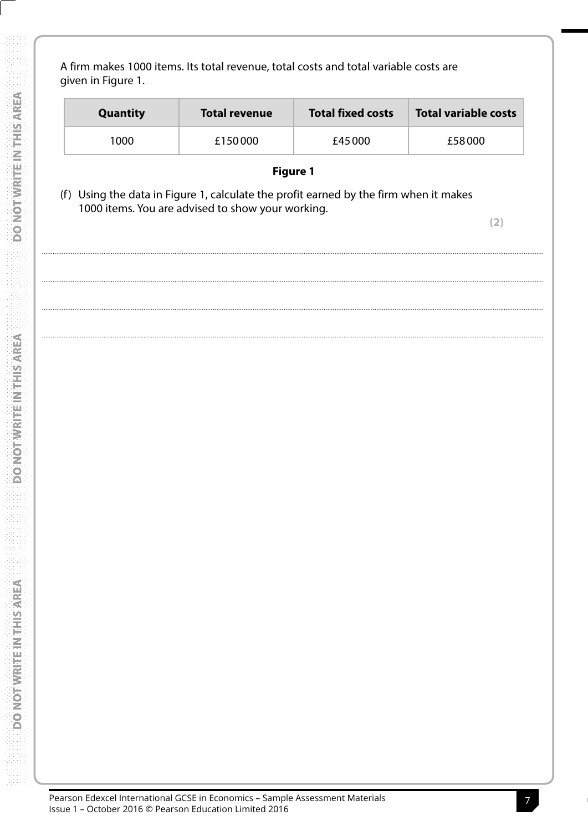A firm makes 1000 items. Its total revenue, total costs and total variable costs are given in Figure 1.

| <b>Quantity</b> | <b>Total revenue</b> | <b>Total fixed costs</b> | Total variable costs |
|-----------------|----------------------|--------------------------|----------------------|
| 1000            | £150000              | £45 000                  | £58000               |

## **Figure 1**

(f) Using the data in Figure 1, calculate the profit earned by the firm when it makes 1000 items. You are advised to show your working.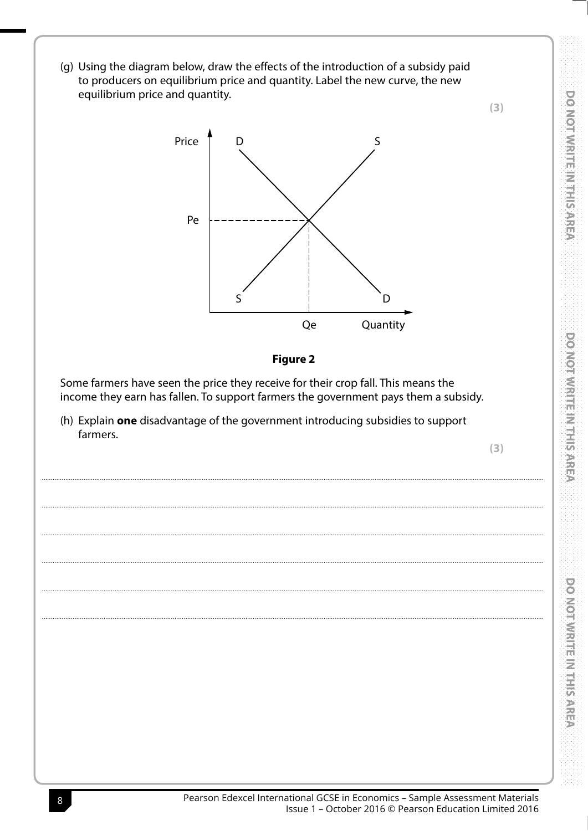(g) Using the diagram below, draw the effects of the introduction of a subsidy paid to producers on equilibrium price and quantity. Label the new curve, the new equilibrium price and quantity.





Some farmers have seen the price they receive for their crop fall. This means the income they earn has fallen. To support farmers the government pays them a subsidy.

(h) Explain one disadvantage of the government introducing subsidies to support farmers.

 $(3)$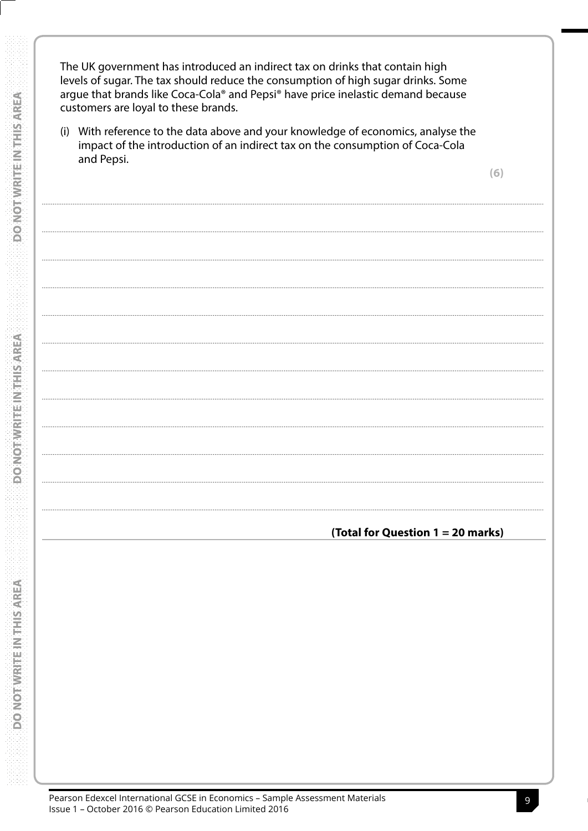The UK government has introduced an indirect tax on drinks that contain high levels of sugar. The tax should reduce the consumption of high sugar drinks. Some argue that brands like Coca-Cola® and Pepsi® have price inelastic demand because customers are loyal to these brands.

(i) With reference to the data above and your knowledge of economics, analyse the impact of the introduction of an indirect tax on the consumption of Coca-Cola and Pepsi.

(Total for Question 1 = 20 marks)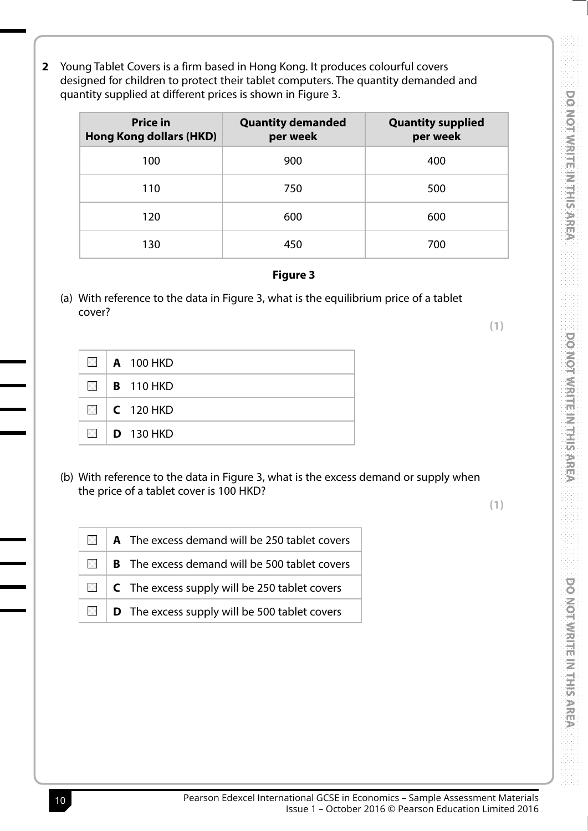2 Young Tablet Covers is a firm based in Hong Kong. It produces colourful covers designed for children to protect their tablet computers. The quantity demanded and quantity supplied at different prices is shown in Figure 3.

| <b>Price in</b><br><b>Hong Kong dollars (HKD)</b> | <b>Quantity demanded</b><br>per week | <b>Quantity supplied</b><br>per week |
|---------------------------------------------------|--------------------------------------|--------------------------------------|
| 100                                               | 900                                  | 400                                  |
| 110                                               | 750                                  | 500                                  |
| 120                                               | 600                                  | 600                                  |
| 130                                               | 450                                  | 700                                  |

#### **Figure 3**

(a) With reference to the data in Figure 3, what is the equilibrium price of a tablet cover?

 $(1)$ 

**DO NOT WRITE IN THIS AREA** 

DO NOT WRITE IN THIS AREA

**DO NOT WRITE IN THIS AREA** 

| $\mathbf{X}$   | <b>A</b> 100 HKD |
|----------------|------------------|
| $\mathbb{X}$   | <b>B</b> 110 HKD |
|                | $\Box$ C 120 HKD |
| $\mathbb{X}$ . | <b>D</b> 130 HKD |

(b) With reference to the data in Figure 3, what is the excess demand or supply when the price of a tablet cover is 100 HKD?

|  | $\Box$   A The excess demand will be 250 tablet covers        |
|--|---------------------------------------------------------------|
|  | $\Box$   <b>B</b> The excess demand will be 500 tablet covers |
|  | $\Box$ <b>C</b> The excess supply will be 250 tablet covers   |
|  | $\Box$ <b>D</b> The excess supply will be 500 tablet covers   |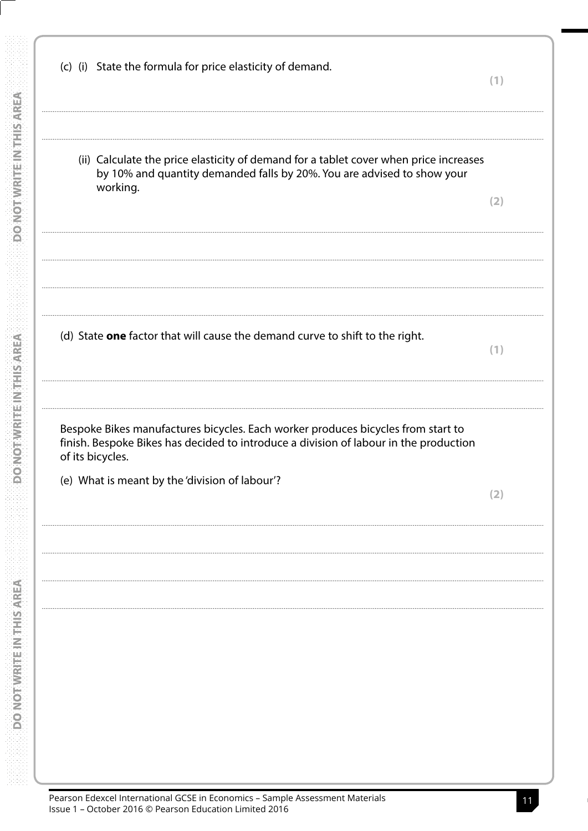(c) (i) State the formula for price elasticity of demand.  $(1)$ (ii) Calculate the price elasticity of demand for a tablet cover when price increases by 10% and quantity demanded falls by 20%. You are advised to show your working.  $(2)$ (d) State one factor that will cause the demand curve to shift to the right.  $(1)$ Bespoke Bikes manufactures bicycles. Each worker produces bicycles from start to finish. Bespoke Bikes has decided to introduce a division of labour in the production of its bicycles. (e) What is meant by the 'division of labour'?  $(2)$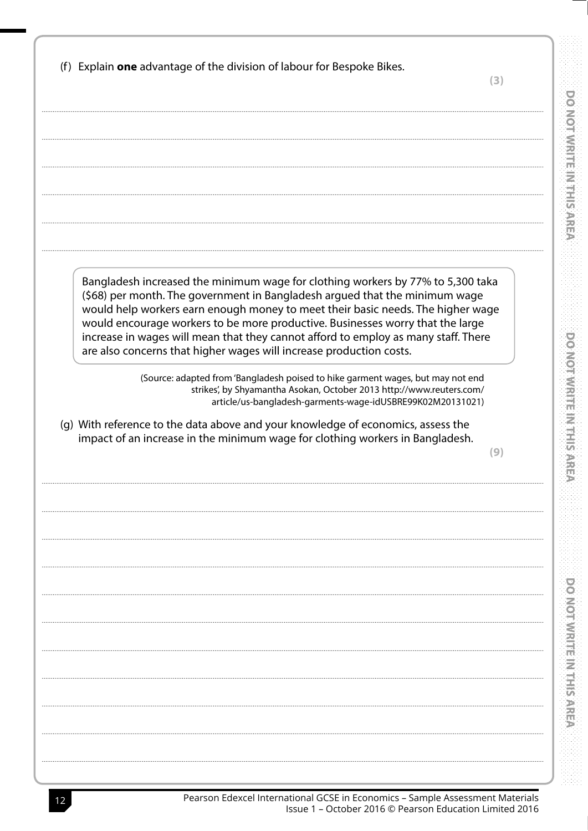|    | ×                        |                | ×. |   | × |   | ×. |
|----|--------------------------|----------------|----|---|---|---|----|
|    |                          |                |    |   |   |   |    |
| ï  | ٠                        | ï              | ٠  |   |   | ï | ٠  |
|    | ×                        |                | ×, |   |   | í | ×, |
|    | ٠                        |                | ٠  |   |   |   | i  |
|    | ×                        |                |    |   |   |   |    |
| ٠  | ä                        |                |    |   |   |   |    |
|    |                          |                |    |   |   |   |    |
| ٠  | i,                       |                |    |   |   |   |    |
| ×, | ٠                        |                |    |   |   |   |    |
| í  | i,                       |                |    |   |   |   |    |
| i  | ٠                        |                |    |   |   |   |    |
|    | i,                       | ۰              |    |   |   |   |    |
| ٠  | ٠                        |                |    |   |   |   |    |
|    |                          |                |    |   |   |   |    |
|    | ٠                        |                |    |   |   |   | r  |
|    | ٠                        |                |    |   |   |   |    |
|    |                          | ÷              |    |   |   |   |    |
|    | à.                       |                |    |   |   |   | ٠  |
| ٠  | i,                       |                |    |   |   |   | ٠  |
| ×  | à.                       | ı              |    |   |   |   | i  |
|    |                          | ú              |    |   |   |   |    |
|    | ×                        | ×              |    |   |   |   | à. |
| ٠  |                          | ×              |    |   |   |   |    |
| ٠  | ı                        | <b>College</b> |    |   |   |   |    |
|    | ٠                        |                |    |   |   |   |    |
|    | i.                       | -              |    |   |   |   |    |
| i  |                          |                |    |   |   |   |    |
| i  | ٠                        |                |    |   |   |   |    |
|    | i.                       |                |    |   |   |   |    |
|    | ٠                        | n              |    |   |   |   |    |
|    | i.                       | m              |    |   |   |   |    |
|    | ×                        | ∼              |    |   |   |   | ٠  |
|    | i,                       |                |    |   |   |   | ×  |
| i  | ×                        | m              |    |   |   |   |    |
|    | š                        |                |    |   |   |   | ï  |
| ٠  | ٠                        | ı              |    |   |   |   |    |
| i  | i,                       | ú.             |    |   |   |   |    |
| i  | ä                        | ÷              |    |   |   |   |    |
|    |                          |                |    |   |   |   |    |
| i  | ä                        |                |    |   |   |   |    |
|    | ×                        |                |    |   |   |   | ×  |
|    | ٠                        |                |    |   |   |   | ï  |
|    |                          | в              |    | ø |   |   |    |
|    | ٠                        |                |    |   |   |   |    |
| ٠  | $\overline{\phantom{a}}$ |                |    |   |   |   |    |
|    | ٠                        |                |    |   |   |   |    |
|    | i.                       |                |    |   |   |   |    |
| ï  |                          |                |    |   |   |   |    |
|    | ٠                        |                |    |   |   |   |    |
|    | i,                       |                |    |   |   |   | í  |

DO NOT WRITE IN THIS AREA

388

| (f) Explain one advantage of the division of labour for Bespoke Bikes.                                                                                                                                                                                                                                                                                                                                                                                                                           | (3) |
|--------------------------------------------------------------------------------------------------------------------------------------------------------------------------------------------------------------------------------------------------------------------------------------------------------------------------------------------------------------------------------------------------------------------------------------------------------------------------------------------------|-----|
|                                                                                                                                                                                                                                                                                                                                                                                                                                                                                                  |     |
|                                                                                                                                                                                                                                                                                                                                                                                                                                                                                                  |     |
|                                                                                                                                                                                                                                                                                                                                                                                                                                                                                                  |     |
| Bangladesh increased the minimum wage for clothing workers by 77% to 5,300 taka<br>(\$68) per month. The government in Bangladesh argued that the minimum wage<br>would help workers earn enough money to meet their basic needs. The higher wage<br>would encourage workers to be more productive. Businesses worry that the large<br>increase in wages will mean that they cannot afford to employ as many staff. There<br>are also concerns that higher wages will increase production costs. |     |
| (Source: adapted from 'Bangladesh poised to hike garment wages, but may not end<br>strikes', by Shyamantha Asokan, October 2013 http://www.reuters.com/<br>article/us-bangladesh-garments-wage-idUSBRE99K02M20131021)                                                                                                                                                                                                                                                                            |     |
| (g) With reference to the data above and your knowledge of economics, assess the<br>impact of an increase in the minimum wage for clothing workers in Bangladesh.                                                                                                                                                                                                                                                                                                                                | (9) |
|                                                                                                                                                                                                                                                                                                                                                                                                                                                                                                  |     |
|                                                                                                                                                                                                                                                                                                                                                                                                                                                                                                  |     |
|                                                                                                                                                                                                                                                                                                                                                                                                                                                                                                  |     |
|                                                                                                                                                                                                                                                                                                                                                                                                                                                                                                  |     |
|                                                                                                                                                                                                                                                                                                                                                                                                                                                                                                  |     |
|                                                                                                                                                                                                                                                                                                                                                                                                                                                                                                  |     |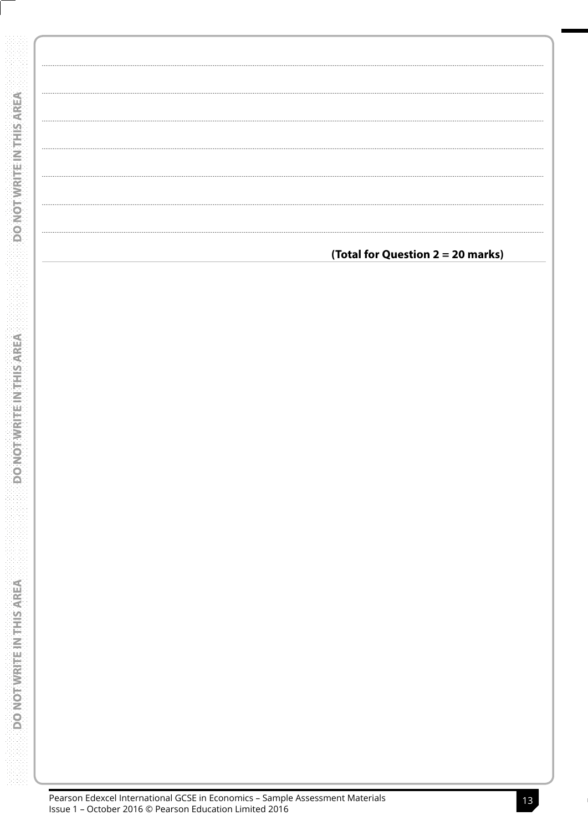| (Total for Question 2 = 20 marks) |
|-----------------------------------|
|                                   |
|                                   |
|                                   |
|                                   |
|                                   |
|                                   |
|                                   |
|                                   |
|                                   |
|                                   |
|                                   |
|                                   |
|                                   |
|                                   |
|                                   |
|                                   |
|                                   |
|                                   |
|                                   |
|                                   |
|                                   |
|                                   |
|                                   |
|                                   |
|                                   |
|                                   |
|                                   |
|                                   |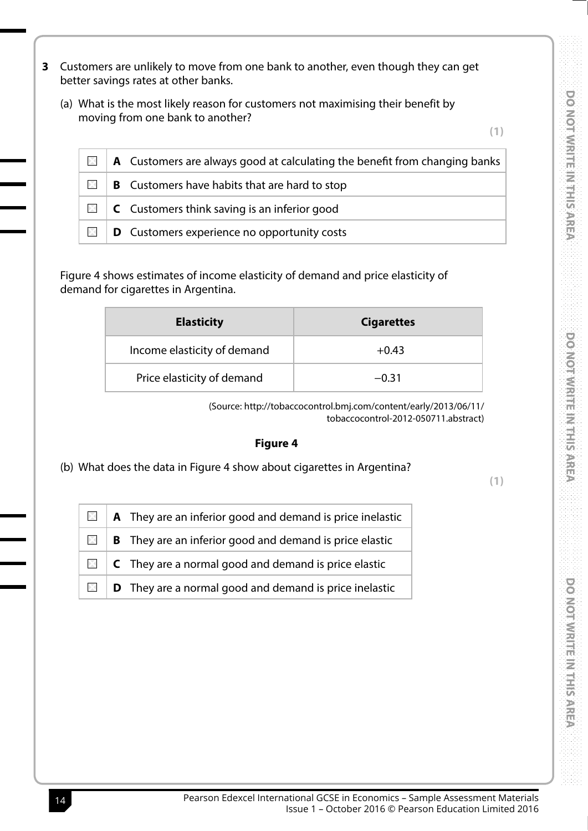- **3** Customers are unlikely to move from one bank to another, even though they can get better savings rates at other banks.
	- (a) What is the most likely reason for customers not maximising their benefit by moving from one bank to another?

**(1)**

| $\mathsf{X}$ | $\parallel$ <b>A</b> Customers are always good at calculating the benefit from changing banks |
|--------------|-----------------------------------------------------------------------------------------------|
| $\mathbb{X}$ | $\vert$ <b>B</b> Customers have habits that are hard to stop                                  |
|              | $\Box$   C Customers think saving is an inferior good                                         |
| $\mathbb{X}$ | $\vert$ D Customers experience no opportunity costs                                           |

Figure 4 shows estimates of income elasticity of demand and price elasticity of demand for cigarettes in Argentina.

| <b>Elasticity</b>           | <b>Cigarettes</b> |
|-----------------------------|-------------------|
| Income elasticity of demand | $+0.43$           |
| Price elasticity of demand  | $-0.31$           |

(Source: http://tobaccocontrol.bmj.com/content/early/2013/06/11/ tobaccocontrol-2012-050711.abstract)

#### **Figure 4**

(b) What does the data in Figure 4 show about cigarettes in Argentina?

**(1)**

| $\Box$   A They are an inferior good and demand is price inelastic              |
|---------------------------------------------------------------------------------|
| $\blacksquare$   <b>B</b> They are an inferior good and demand is price elastic |
| $\Box$ <b>C</b> They are a normal good and demand is price elastic              |
| $\Box$ <b>D</b> They are a normal good and demand is price inelastic            |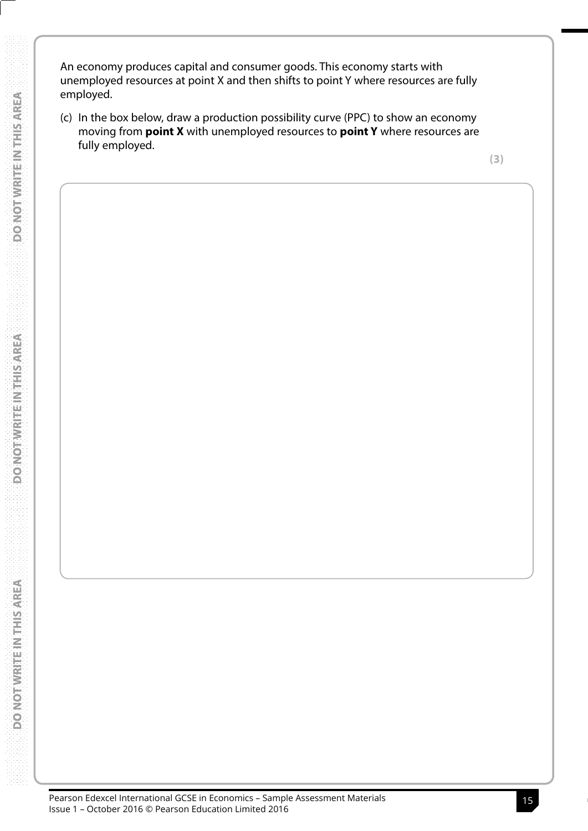An economy produces capital and consumer goods. This economy starts with unemployed resources at point X and then shifts to point Y where resources are fully employed.

(c) In the box below, draw a production possibility curve (PPC) to show an economy moving from **point X** with unemployed resources to **point Y** where resources are fully employed.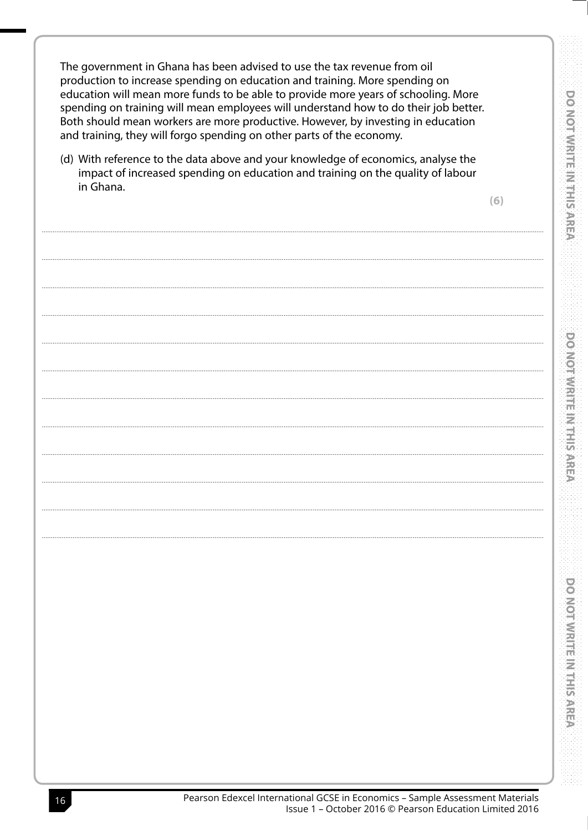The government in Ghana has been advised to use the tax revenue from oil production to increase spending on education and training. More spending on education will mean more funds to be able to provide more years of schooling. More spending on training will mean employees will understand how to do their job better. Both should mean workers are more productive. However, by investing in education and training, they will forgo spending on other parts of the economy.

(d) With reference to the data above and your knowledge of economics, analyse the impact of increased spending on education and training on the quality of labour in Ghana.

 $(6)$ 

**DO NOT WRITE IN THIS AREA** 

**DO NOT WRITE IN THIS AREA**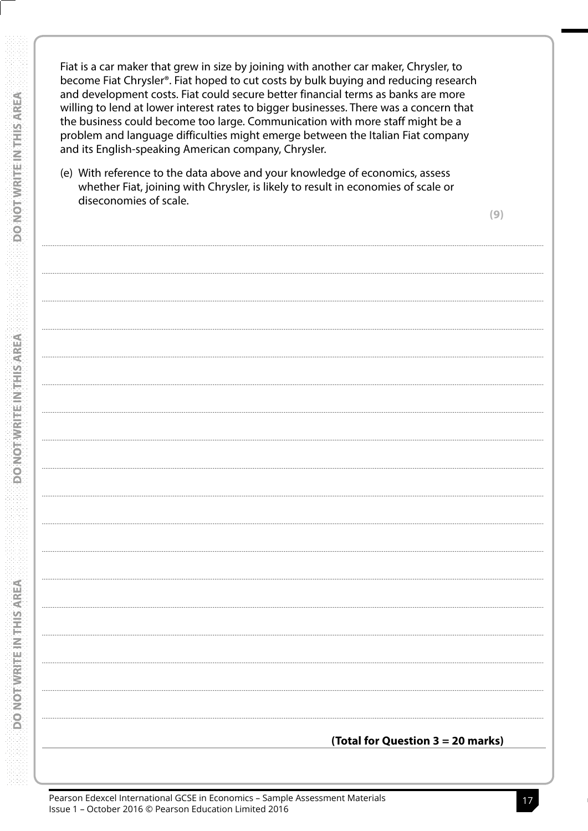Fiat is a car maker that grew in size by joining with another car maker, Chrysler, to become Fiat Chrysler®. Fiat hoped to cut costs by bulk buying and reducing research and development costs. Fiat could secure better financial terms as banks are more willing to lend at lower interest rates to bigger businesses. There was a concern that the business could become too large. Communication with more staff might be a problem and language difficulties might emerge between the Italian Fiat company and its English-speaking American company, Chrysler.

(e) With reference to the data above and your knowledge of economics, assess whether Fiat, joining with Chrysler, is likely to result in economies of scale or diseconomies of scale.

 $(9)$ 

(Total for Question  $3 = 20$  marks)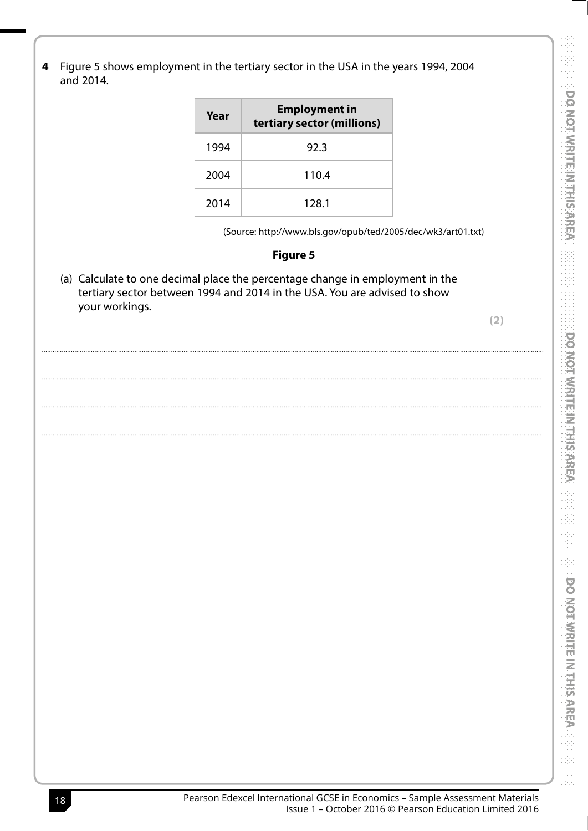**DO NOT WRITE IN THIS AREA** 

Figure 5 shows employment in the tertiary sector in the USA in the years 1994, 2004 4 and 2014.

| Year | <b>Employment in</b><br>tertiary sector (millions) |
|------|----------------------------------------------------|
| 1994 | 92.3                                               |
| 2004 | 110.4                                              |
| 2014 | 128.1                                              |

(Source: http://www.bls.gov/opub/ted/2005/dec/wk3/art01.txt)

### **Figure 5**

(a) Calculate to one decimal place the percentage change in employment in the tertiary sector between 1994 and 2014 in the USA. You are advised to show your workings.

 $(2)$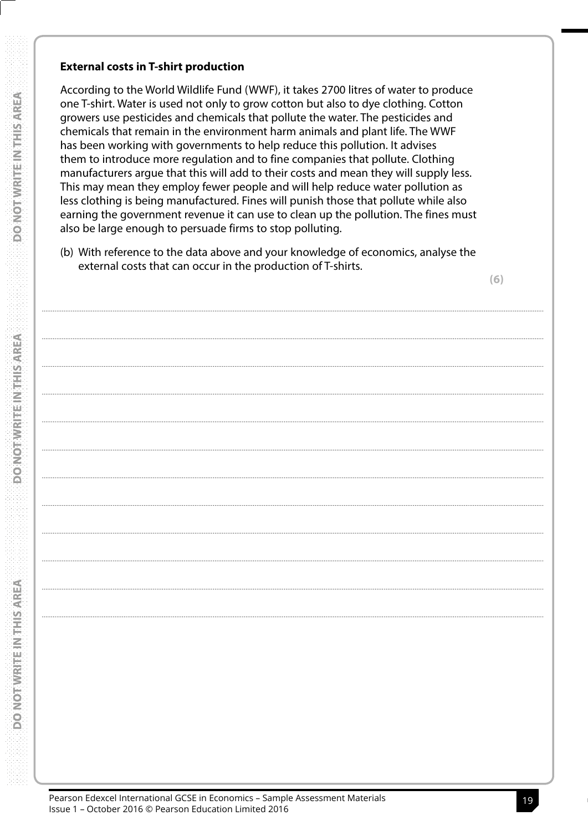### **External costs in T-shirt production**

According to the World Wildlife Fund (WWF), it takes 2700 litres of water to produce one T-shirt. Water is used not only to grow cotton but also to dye clothing. Cotton growers use pesticides and chemicals that pollute the water. The pesticides and chemicals that remain in the environment harm animals and plant life. The WWF has been working with governments to help reduce this pollution. It advises them to introduce more regulation and to fine companies that pollute. Clothing manufacturers argue that this will add to their costs and mean they will supply less. This may mean they employ fewer people and will help reduce water pollution as less clothing is being manufactured. Fines will punish those that pollute while also earning the government revenue it can use to clean up the pollution. The fines must also be large enough to persuade firms to stop polluting.

(b) With reference to the data above and your knowledge of economics, analyse the external costs that can occur in the production of T-shirts.

 $(6)$ 

AREA

**DO NOT WRITE NITHIS?**